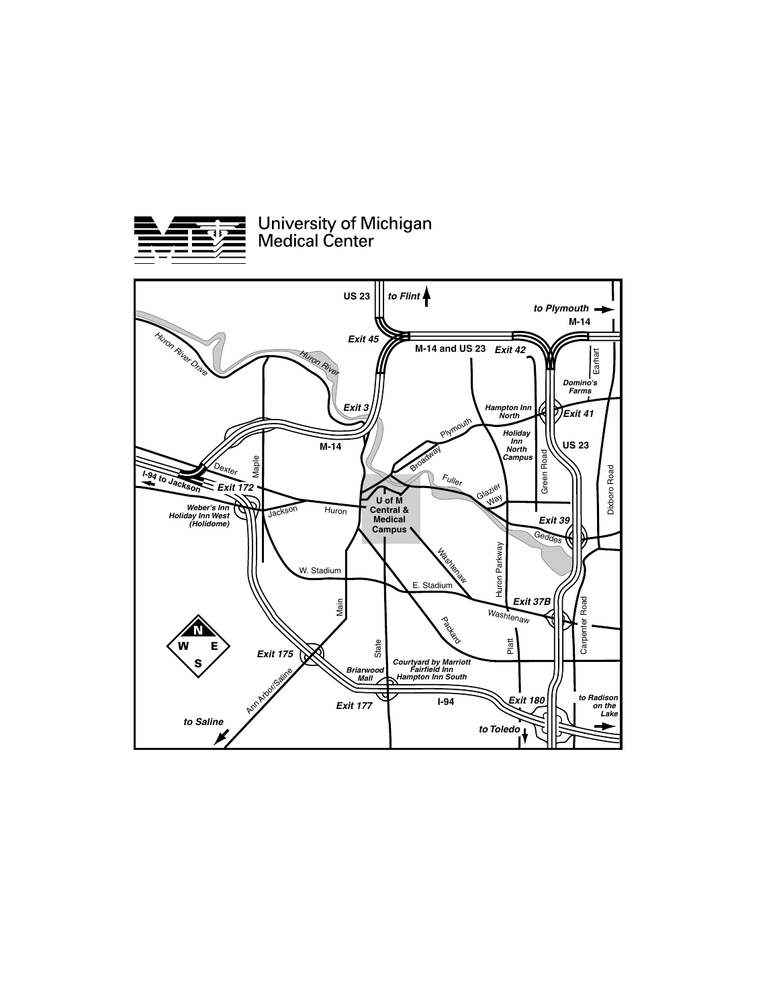

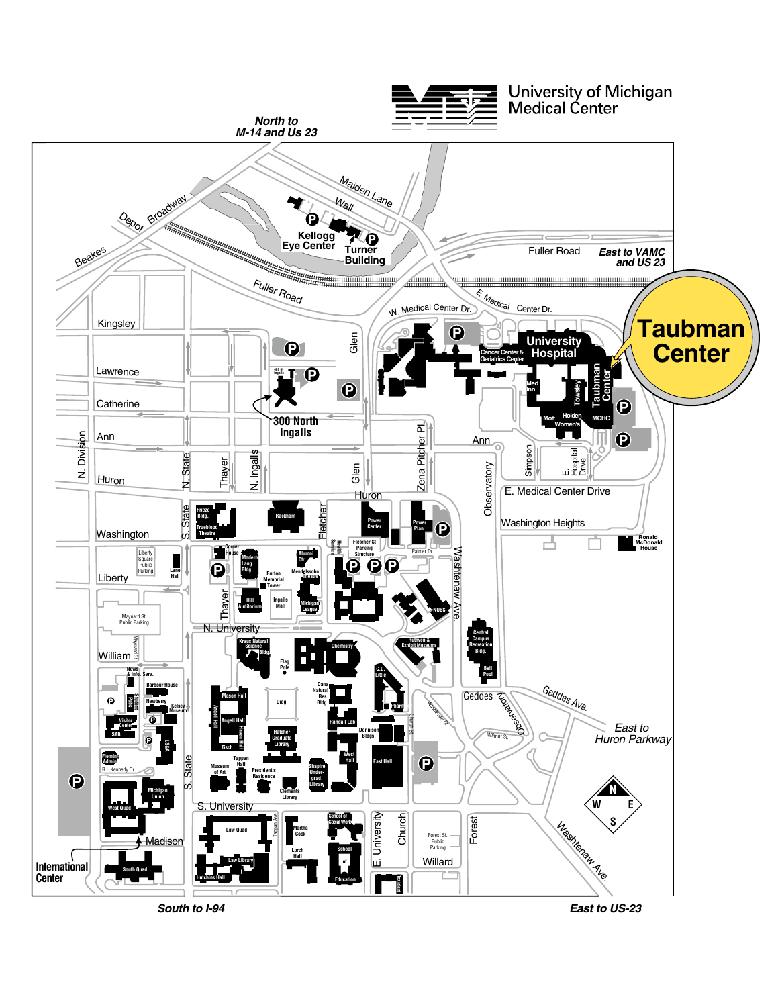